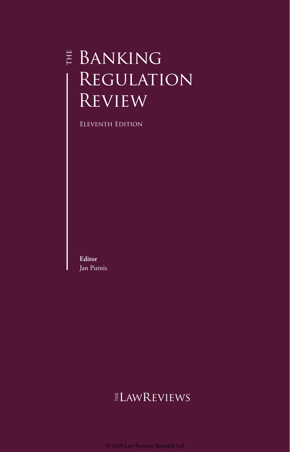# E BANKING REGULATION **REVIEW**

Eleventh Edition

**Editor** Jan Putnis

# **ELAWREVIEWS**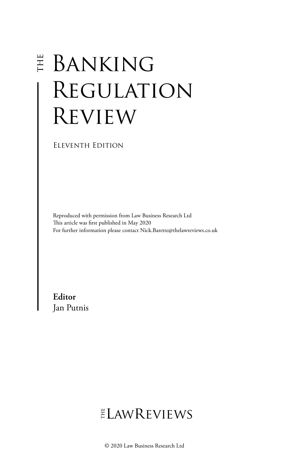# **E BANKING** Regulation Review

Eleventh Edition

Reproduced with permission from Law Business Research Ltd This article was first published in May 2020 For further information please contact Nick.Barette@thelawreviews.co.uk

**Editor** Jan Putnis

# ELAWREVIEWS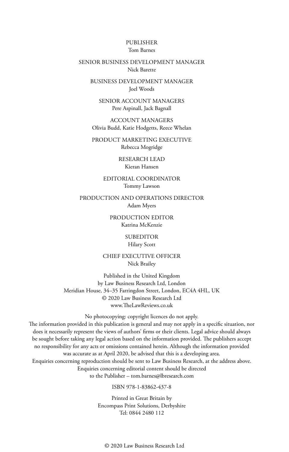#### PUBLISHER Tom Barnes

#### SENIOR BUSINESS DEVELOPMENT MANAGER Nick Barette

BUSINESS DEVELOPMENT MANAGER Joel Woods

SENIOR ACCOUNT MANAGERS Pere Aspinall, Jack Bagnall

ACCOUNT MANAGERS Olivia Budd, Katie Hodgetts, Reece Whelan

PRODUCT MARKETING EXECUTIVE Rebecca Mogridge

> RESEARCH LEAD Kieran Hansen

EDITORIAL COORDINATOR Tommy Lawson

PRODUCTION AND OPERATIONS DIRECTOR Adam Myers

> PRODUCTION EDITOR Katrina McKenzie

> > SUBEDITOR Hilary Scott

CHIEF EXECUTIVE OFFICER Nick Brailey

Published in the United Kingdom by Law Business Research Ltd, London Meridian House, 34–35 Farringdon Street, London, EC4A 4HL, UK © 2020 Law Business Research Ltd www.TheLawReviews.co.uk

No photocopying: copyright licences do not apply. The information provided in this publication is general and may not apply in a specific situation, nor does it necessarily represent the views of authors' firms or their clients. Legal advice should always be sought before taking any legal action based on the information provided. The publishers accept no responsibility for any acts or omissions contained herein. Although the information provided was accurate as at April 2020, be advised that this is a developing area. Enquiries concerning reproduction should be sent to Law Business Research, at the address above. Enquiries concerning editorial content should be directed to the Publisher – tom.barnes@lbresearch.com

ISBN 978-1-83862-437-8

Printed in Great Britain by Encompass Print Solutions, Derbyshire Tel: 0844 2480 112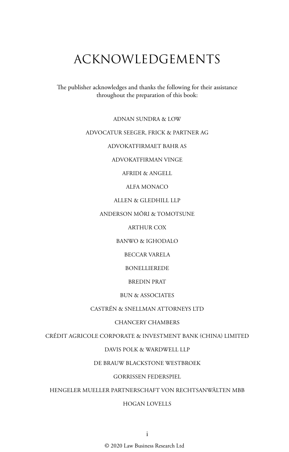# ACKNOWLEDGEMENTS

The publisher acknowledges and thanks the following for their assistance throughout the preparation of this book:

ADNAN SUNDRA & LOW

#### ADVOCATUR SEEGER, FRICK & PARTNER AG

ADVOKATFIRMAET BAHR AS

ADVOKATFIRMAN VINGE

AFRIDI & ANGELL

ALFA MONACO

ALLEN & GLEDHILL LLP

ANDERSON MŌRI & TOMOTSUNE

ARTHUR COX

BANWO & IGHODALO

BECCAR VARELA

BONELLIEREDE

BREDIN PRAT

BUN & ASSOCIATES

CASTRÉN & SNELLMAN ATTORNEYS LTD

#### CHANCERY CHAMBERS

CRÉDIT AGRICOLE CORPORATE & INVESTMENT BANK (CHINA) LIMITED

DAVIS POLK & WARDWELL LLP

DE BRAUW BLACKSTONE WESTBROEK

#### GORRISSEN FEDERSPIEL

HENGELER MUELLER PARTNERSCHAFT VON RECHTSANWÄLTEN MBB

#### HOGAN LOVELLS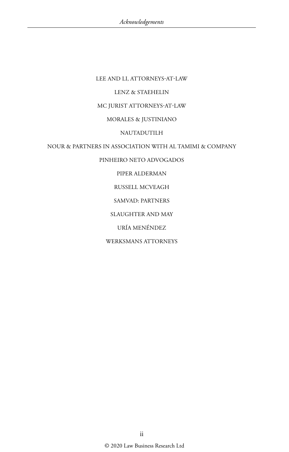#### LEE AND LI, ATTORNEYS-AT-LAW

#### LENZ & STAEHELIN

#### MC JURIST ATTORNEYS-AT-LAW

#### MORALES & JUSTINIANO

#### NAUTADUTILH

#### NOUR & PARTNERS IN ASSOCIATION WITH AL TAMIMI & COMPANY

#### PINHEIRO NETO ADVOGADOS

#### PIPER ALDERMAN

#### RUSSELL MCVEAGH

#### SAMVAD: PARTNERS

#### SLAUGHTER AND MAY

#### URÍA MENÉNDEZ

#### WERKSMANS ATTORNEYS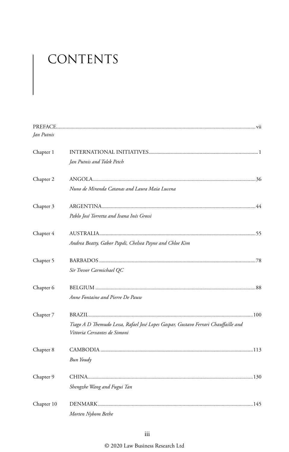# CONTENTS

| Jan Putnis |                                                                                    |  |
|------------|------------------------------------------------------------------------------------|--|
| Chapter 1  |                                                                                    |  |
|            | Jan Putnis and Tolek Petch                                                         |  |
| Chapter 2  |                                                                                    |  |
|            | Nuno de Miranda Catanas and Laura Maia Lucena                                      |  |
| Chapter 3  |                                                                                    |  |
|            | Pablo José Torretta and Ivana Inés Grossi                                          |  |
| Chapter 4  |                                                                                    |  |
|            | Andrea Beatty, Gabor Papdi, Chelsea Payne and Chloe Kim                            |  |
| Chapter 5  |                                                                                    |  |
|            | Sir Trevor Carmichael QC                                                           |  |
| Chapter 6  |                                                                                    |  |
|            | Anne Fontaine and Pierre De Pauw                                                   |  |
| Chapter 7  |                                                                                    |  |
|            | Tiago A D Themudo Lessa, Rafael José Lopes Gaspar, Gustavo Ferrari Chauffaille and |  |
|            | Vittoria Cervantes de Simoni                                                       |  |
| Chapter 8  |                                                                                    |  |
|            | Bun Youdy                                                                          |  |
| Chapter 9  |                                                                                    |  |
|            | Shengzhe Wang and Fugui Tan                                                        |  |
| Chapter 10 |                                                                                    |  |
|            | Morten Nybom Bethe                                                                 |  |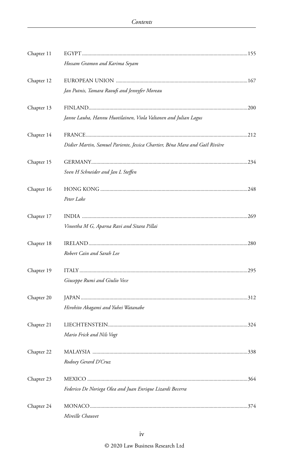| Chapter 11 |                                                                              |  |
|------------|------------------------------------------------------------------------------|--|
|            | Hossam Gramon and Karima Seyam                                               |  |
| Chapter 12 |                                                                              |  |
|            | Jan Putnis, Tamara Raoufi and Jennyfer Moreau                                |  |
| Chapter 13 |                                                                              |  |
|            | Janne Lauha, Hannu Huotilainen, Viola Valtanen and Julian Lagus              |  |
| Chapter 14 |                                                                              |  |
|            | Didier Martin, Samuel Pariente, Jessica Chartier, Béna Mara and Gaël Rivière |  |
| Chapter 15 |                                                                              |  |
|            | Sven H Schneider and Jan L Steffen                                           |  |
| Chapter 16 |                                                                              |  |
|            | Peter Lake                                                                   |  |
| Chapter 17 |                                                                              |  |
|            | Vineetha M G, Aparna Ravi and Sitara Pillai                                  |  |
| Chapter 18 |                                                                              |  |
|            | Robert Cain and Sarah Lee                                                    |  |
| Chapter 19 |                                                                              |  |
|            | Giuseppe Rumi and Giulio Vece                                                |  |
| Chapter 20 |                                                                              |  |
|            | Hirohito Akagami and Yuhei Watanabe                                          |  |
| Chapter 21 |                                                                              |  |
|            | Mario Frick and Nils Vogt                                                    |  |
| Chapter 22 |                                                                              |  |
|            | Rodney Gerard D'Cruz                                                         |  |
| Chapter 23 |                                                                              |  |
|            | Federico De Noriega Olea and Juan Enrique Lizardi Becerra                    |  |
| Chapter 24 |                                                                              |  |
|            | Mireille Chauvet                                                             |  |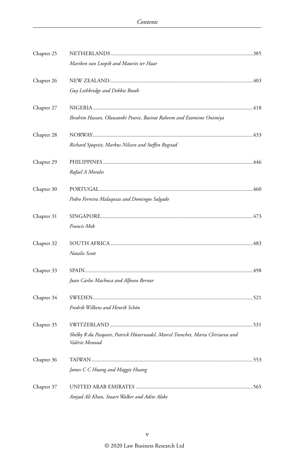| Chapter 25 |                                                                                                  |  |
|------------|--------------------------------------------------------------------------------------------------|--|
|            | Mariken van Loopik and Maurits ter Haar                                                          |  |
| Chapter 26 |                                                                                                  |  |
|            | Guy Lethbridge and Debbie Booth                                                                  |  |
| Chapter 27 |                                                                                                  |  |
|            | Ibrahim Hassan, Oluwatobi Pearce, Basirat Raheem and Ezomime Onimiya                             |  |
| Chapter 28 |                                                                                                  |  |
|            | Richard Sjøqvist, Markus Nilssen and Steffen Rogstad                                             |  |
| Chapter 29 |                                                                                                  |  |
|            | Rafael A Morales                                                                                 |  |
| Chapter 30 |                                                                                                  |  |
|            | Pedro Ferreira Malaquias and Domingos Salgado                                                    |  |
| Chapter 31 |                                                                                                  |  |
|            | Francis Mok                                                                                      |  |
| Chapter 32 |                                                                                                  |  |
|            | Natalie Scott                                                                                    |  |
| Chapter 33 |                                                                                                  |  |
|            | Juan Carlos Machuca and Alfonso Bernar                                                           |  |
| Chapter 34 |                                                                                                  |  |
|            | Fredrik Wilkens and Henrik Schön                                                                 |  |
| Chapter 35 |                                                                                                  |  |
|            | Shelby R du Pasquier, Patrick Hünerwadel, Marcel Tranchet, Maria Chiriaeva and<br>Valérie Menoud |  |
| Chapter 36 |                                                                                                  |  |
|            | James C C Huang and Maggie Huang                                                                 |  |
| Chapter 37 |                                                                                                  |  |
|            | Amjad Ali Khan, Stuart Walker and Adite Aloke                                                    |  |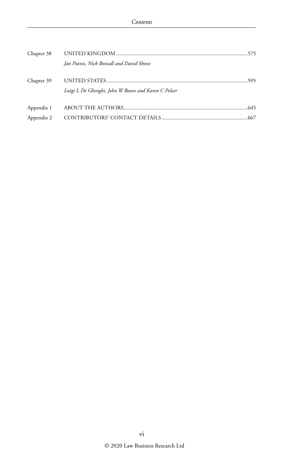| Chapter 38 |                                                     |  |
|------------|-----------------------------------------------------|--|
|            | Jan Putnis, Nick Bonsall and David Shone            |  |
| Chapter 39 | Luigi L De Ghenghi, John W Banes and Karen C Pelzer |  |
| Appendix 1 |                                                     |  |
| Appendix 2 |                                                     |  |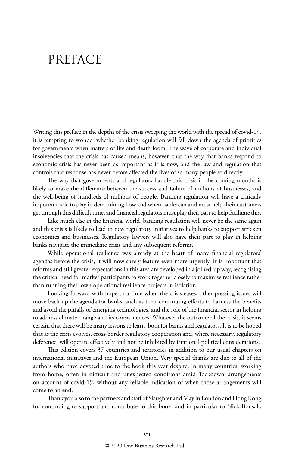# PREFACE

Writing this preface in the depths of the crisis sweeping the world with the spread of covid-19, it is tempting to wonder whether banking regulation will fall down the agenda of priorities for governments when matters of life and death loom. The wave of corporate and individual insolvencies that the crisis has caused means, however, that the way that banks respond to economic crisis has never been as important as it is now, and the law and regulation that controls that response has never before affected the lives of so many people so directly.

The way that governments and regulators handle this crisis in the coming months is likely to make the difference between the success and failure of millions of businesses, and the well-being of hundreds of millions of people. Banking regulation will have a critically important role to play in determining how and when banks can and must help their customers get through this difficult time, and financial regulators must play their part to help facilitate this.

Like much else in the financial world, banking regulation will never be the same again and this crisis is likely to lead to new regulatory initiatives to help banks to support stricken economies and businesses. Regulatory lawyers will also have their part to play in helping banks navigate the immediate crisis and any subsequent reforms.

While operational resilience was already at the heart of many financial regulators' agendas before the crisis, it will now surely feature even more urgently. It is important that reforms and still greater expectations in this area are developed in a joined-up way, recognising the critical need for market participants to work together closely to maximise resilience rather than running their own operational resilience projects in isolation.

Looking forward with hope to a time when the crisis eases, other pressing issues will move back up the agenda for banks, such as their continuing efforts to harness the benefits and avoid the pitfalls of emerging technologies, and the role of the financial sector in helping to address climate change and its consequences. Whatever the outcome of the crisis, it seems certain that there will be many lessons to learn, both for banks and regulators. It is to be hoped that as the crisis evolves, cross-border regulatory cooperation and, where necessary, regulatory deference, will operate effectively and not be inhibited by irrational political considerations.

This edition covers 37 countries and territories in addition to our usual chapters on international initiatives and the European Union. Very special thanks are due to all of the authors who have devoted time to the book this year despite, in many countries, working from home, often in difficult and unexpected conditions amid 'lockdown' arrangements on account of covid-19, without any reliable indication of when those arrangements will come to an end.

Thank you also to the partners and staff of Slaughter and May in London and Hong Kong for continuing to support and contribute to this book, and in particular to Nick Bonsall,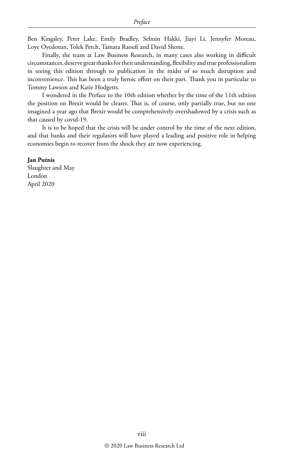Ben Kingsley, Peter Lake, Emily Bradley, Selmin Hakki, Jiayi Li, Jennyfer Moreau, Loye Oyedotun, Tolek Petch, Tamara Raoufi and David Shone.

Finally, the team at Law Business Research, in many cases also working in difficult circumstances, deserve great thanks for their understanding, flexibility and true professionalism in seeing this edition through to publication in the midst of so much disruption and inconvenience. This has been a truly heroic effort on their part. Thank you in particular to Tommy Lawson and Katie Hodgetts.

I wondered in the Preface to the 10th edition whether by the time of the 11th edition the position on Brexit would be clearer. That is, of course, only partially true, but no one imagined a year ago that Brexit would be comprehensively overshadowed by a crisis such as that caused by covid-19.

It is to be hoped that the crisis will be under control by the time of the next edition, and that banks and their regulators will have played a leading and positive role in helping economies begin to recover from the shock they are now experiencing.

#### **Jan Putnis**

Slaughter and May London April 2020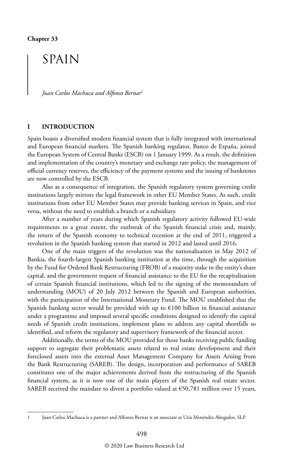## SPAIN

*Juan Carlos Machuca and Alfonso Bernar*<sup>1</sup>

#### **I INTRODUCTION**

Spain boasts a diversified modern financial system that is fully integrated with international and European financial markets. The Spanish banking regulator, Banco de España, joined the European System of Central Banks (ESCB) on 1 January 1999. As a result, the definition and implementation of the country's monetary and exchange rate policy, the management of official currency reserves, the efficiency of the payment systems and the issuing of banknotes are now controlled by the ESCB.

Also as a consequence of integration, the Spanish regulatory system governing credit institutions largely mirrors the legal framework in other EU Member States. As such, credit institutions from other EU Member States may provide banking services in Spain, and vice versa, without the need to establish a branch or a subsidiary.

After a number of years during which Spanish regulatory activity followed EU-wide requirements to a great extent, the outbreak of the Spanish financial crisis and, mainly, the return of the Spanish economy to technical recession at the end of 2011, triggered a revolution in the Spanish banking system that started in 2012 and lasted until 2016.

One of the main triggers of the revolution was the nationalisation in May 2012 of Bankia, the fourth-largest Spanish banking institution at the time, through the acquisition by the Fund for Ordered Bank Restructuring (FROB) of a majority stake in the entity's share capital, and the government request of financial assistance to the EU for the recapitalisation of certain Spanish financial institutions, which led to the signing of the memorandum of understanding (MOU) of 20 July 2012 between the Spanish and European authorities, with the participation of the International Monetary Fund. The MOU established that the Spanish banking sector would be provided with up to  $\epsilon$ 100 billion in financial assistance under a programme and imposed several specific conditions designed to identify the capital needs of Spanish credit institutions, implement plans to address any capital shortfalls so identified, and reform the regulatory and supervisory framework of the financial sector.

Additionally, the terms of the MOU provided for those banks receiving public funding support to segregate their problematic assets related to real estate development and their foreclosed assets into the external Asset Management Company for Assets Arising from the Bank Restructuring (SAREB). The design, incorporation and performance of SAREB constitutes one of the major achievements derived from the restructuring of the Spanish financial system, as it is now one of the main players of the Spanish real estate sector. SAREB received the mandate to divest a portfolio valued at  $\epsilon$ 50,781 million over 15 years,

<sup>1</sup> Juan Carlos Machuca is a partner and Alfonso Bernar is an associate at Uría Menéndez Abogados, SLP.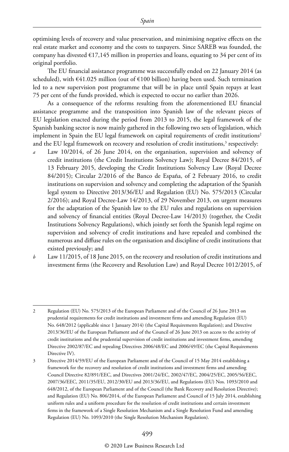optimising levels of recovery and value preservation, and minimising negative effects on the real estate market and economy and the costs to taxpayers. Since SAREB was founded, the company has divested  $E17,145$  million in properties and loans, equating to 34 per cent of its original portfolio.

The EU financial assistance programme was successfully ended on 22 January 2014 (as scheduled), with €41.025 million (out of €100 billion) having been used. Such termination led to a new supervision post programme that will be in place until Spain repays at least 75 per cent of the funds provided, which is expected to occur no earlier than 2026.

As a consequence of the reforms resulting from the aforementioned EU financial assistance programme and the transposition into Spanish law of the relevant pieces of EU legislation enacted during the period from 2013 to 2015, the legal framework of the Spanish banking sector is now mainly gathered in the following two sets of legislation, which implement in Spain the EU legal framework on capital requirements of credit institutions<sup>2</sup> and the EU legal framework on recovery and resolution of credit institutions, $^3$  respectively:

- Law 10/2014, of 26 June 2014, on the organisation, supervision and solvency of credit institutions (the Credit Institutions Solvency Law); Royal Decree 84/2015, of 13 February 2015, developing the Credit Institutions Solvency Law (Royal Decree 84/2015); Circular 2/2016 of the Banco de España, of 2 February 2016, to credit institutions on supervision and solvency and completing the adaptation of the Spanish legal system to Directive 2013/36/EU and Regulation (EU) No. 575/2013 (Circular 2/2016); and Royal Decree-Law 14/2013, of 29 November 2013, on urgent measures for the adaptation of the Spanish law to the EU rules and regulations on supervision and solvency of financial entities (Royal Decree-Law 14/2013) (together, the Credit Institutions Solvency Regulations), which jointly set forth the Spanish legal regime on supervision and solvency of credit institutions and have repealed and combined the numerous and diffuse rules on the organisation and discipline of credit institutions that existed previously; and
- *b* Law 11/2015, of 18 June 2015, on the recovery and resolution of credit institutions and investment firms (the Recovery and Resolution Law) and Royal Decree 1012/2015, of

<sup>2</sup> Regulation (EU) No. 575/2013 of the European Parliament and of the Council of 26 June 2013 on prudential requirements for credit institutions and investment firms and amending Regulation (EU) No. 648/2012 (applicable since 1 January 2014) (the Capital Requirements Regulation); and Directive 2013/36/EU of the European Parliament and of the Council of 26 June 2013 on access to the activity of credit institutions and the prudential supervision of credit institutions and investment firms, amending Directive 2002/87/EC and repealing Directives 2006/48/EC and 2006/49/EC (the Capital Requirements Directive IV).

<sup>3</sup> Directive 2014/59/EU of the European Parliament and of the Council of 15 May 2014 establishing a framework for the recovery and resolution of credit institutions and investment firms and amending Council Directive 82/891/EEC, and Directives 2001/24/EC, 2002/47/EC, 2004/25/EC, 2005/56/EEC, 2007/36/EEC, 2011/35/EU, 2012/30/EU and 2013/36/EU, and Regulations (EU) Nos. 1093/2010 and 648/2012, of the European Parliament and of the Council (the Bank Recovery and Resolution Directive); and Regulation (EU) No. 806/2014, of the European Parliament and Council of 15 July 2014, establishing uniform rules and a uniform procedure for the resolution of credit institutions and certain investment firms in the framework of a Single Resolution Mechanism and a Single Resolution Fund and amending Regulation (EU) No. 1093/2010 (the Single Resolution Mechanism Regulation).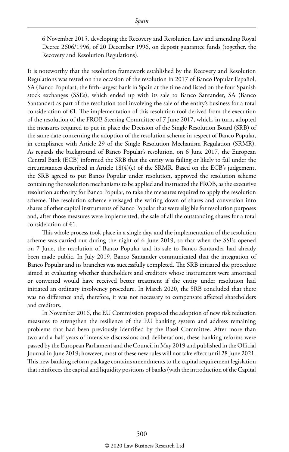6 November 2015, developing the Recovery and Resolution Law and amending Royal Decree 2606/1996, of 20 December 1996, on deposit guarantee funds (together, the Recovery and Resolution Regulations).

It is noteworthy that the resolution framework established by the Recovery and Resolution Regulations was tested on the occasion of the resolution in 2017 of Banco Popular Español, SA (Banco Popular), the fifth-largest bank in Spain at the time and listed on the four Spanish stock exchanges (SSEs), which ended up with its sale to Banco Santander, SA (Banco Santander) as part of the resolution tool involving the sale of the entity's business for a total consideration of  $\epsilon$ 1. The implementation of this resolution tool derived from the execution of the resolution of the FROB Steering Committee of 7 June 2017, which, in turn, adopted the measures required to put in place the Decision of the Single Resolution Board (SRB) of the same date concerning the adoption of the resolution scheme in respect of Banco Popular, in compliance with Article 29 of the Single Resolution Mechanism Regulation (SRMR). As regards the background of Banco Popular's resolution, on 6 June 2017, the European Central Bank (ECB) informed the SRB that the entity was failing or likely to fail under the circumstances described in Article  $18(4)(c)$  of the SRMR. Based on the ECB's judgement, the SRB agreed to put Banco Popular under resolution, approved the resolution scheme containing the resolution mechanisms to be applied and instructed the FROB, as the executive resolution authority for Banco Popular, to take the measures required to apply the resolution scheme. The resolution scheme envisaged the writing down of shares and conversion into shares of other capital instruments of Banco Popular that were eligible for resolution purposes and, after those measures were implemented, the sale of all the outstanding shares for a total consideration of  $€1$ .

This whole process took place in a single day, and the implementation of the resolution scheme was carried out during the night of 6 June 2019, so that when the SSEs opened on 7 June, the resolution of Banco Popular and its sale to Banco Santander had already been made public. In July 2019, Banco Santander communicated that the integration of Banco Popular and its branches was successfully completed. The SRB initiated the procedure aimed at evaluating whether shareholders and creditors whose instruments were amortised or converted would have received better treatment if the entity under resolution had initiated an ordinary insolvency procedure. In March 2020, the SRB concluded that there was no difference and, therefore, it was not necessary to compensate affected shareholders and creditors.

In November 2016, the EU Commission proposed the adoption of new risk reduction measures to strengthen the resilience of the EU banking system and address remaining problems that had been previously identified by the Basel Committee. After more than two and a half years of intensive discussions and deliberations, these banking reforms were passed by the European Parliament and the Council in May 2019 and published in the Official Journal in June 2019; however, most of these new rules will not take effect until 28 June 2021. This new banking reform package contains amendments to the capital requirement legislation that reinforces the capital and liquidity positions of banks (with the introduction of the Capital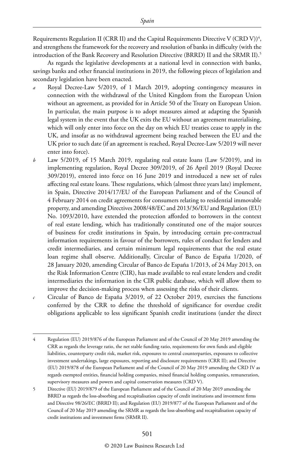Requirements Regulation II (CRR II) and the Capital Requirements Directive V (CRD V)) $^4$ , and strengthens the framework for the recovery and resolution of banks in difficulty (with the introduction of the Bank Recovery and Resolution Directive (BRRD) II and the SRMR II).5

As regards the legislative developments at a national level in connection with banks, savings banks and other financial institutions in 2019, the following pieces of legislation and secondary legislation have been enacted.

- *a* Royal Decree-Law 5/2019, of 1 March 2019, adopting contingency measures in connection with the withdrawal of the United Kingdom from the European Union without an agreement, as provided for in Article 50 of the Treaty on European Union. In particular, the main purpose is to adopt measures aimed at adapting the Spanish legal system in the event that the UK exits the EU without an agreement materialising, which will only enter into force on the day on which EU treaties cease to apply in the UK, and insofar as no withdrawal agreement being reached between the EU and the UK prior to such date (if an agreement is reached, Royal Decree-Law 5/2019 will never enter into force).
- *b* Law 5/2019, of 15 March 2019, regulating real estate loans (Law 5/2019), and its implementing regulation, Royal Decree 309/2019, of 26 April 2019 (Royal Decree 309/2019), entered into force on 16 June 2019 and introduced a new set of rules affecting real estate loans. These regulations, which (almost three years late) implement, in Spain, Directive 2014/17/EU of the European Parliament and of the Council of 4 February 2014 on credit agreements for consumers relating to residential immovable property, and amending Directives 2008/48/EC and 2013/36/EU and Regulation (EU) No. 1093/2010, have extended the protection afforded to borrowers in the context of real estate lending, which has traditionally constituted one of the major sources of business for credit institutions in Spain, by introducing certain pre-contractual information requirements in favour of the borrowers, rules of conduct for lenders and credit intermediaries, and certain minimum legal requirements that the real estate loan regime shall observe. Additionally, Circular of Banco de España 1/2020, of 28 January 2020, amending Circular of Banco de España 1/2013, of 24 May 2013, on the Risk Information Centre (CIR), has made available to real estate lenders and credit intermediaries the information in the CIR public database, which will allow them to improve the decision-making process when assessing the risks of their clients.
- *c* Circular of Banco de España 3/2019, of 22 October 2019, exercises the functions conferred by the CRR to define the threshold of significance for overdue credit obligations applicable to less significant Spanish credit institutions (under the direct

<sup>4</sup> Regulation (EU) 2019/876 of the European Parliament and of the Council of 20 May 2019 amending the CRR as regards the leverage ratio, the net stable funding ratio, requirements for own funds and eligible liabilities, counterparty credit risk, market risk, exposures to central counterparties, exposures to collective investment undertakings, large exposures, reporting and disclosure requirements (CRR II); and Directive (EU) 2019/878 of the European Parliament and of the Council of 20 May 2019 amending the CRD IV as regards exempted entities, financial holding companies, mixed financial holding companies, remuneration, supervisory measures and powers and capital conservation measures (CRD V).

<sup>5</sup> Directive (EU) 2019/879 of the European Parliament and of the Council of 20 May 2019 amending the BRRD as regards the loss-absorbing and recapitalisation capacity of credit institutions and investment firms and Directive 98/26/EC (BRRD II); and Regulation (EU) 2019/877 of the European Parliament and of the Council of 20 May 2019 amending the SRMR as regards the loss-absorbing and recapitalisation capacity of credit institutions and investment firms (SRMR II).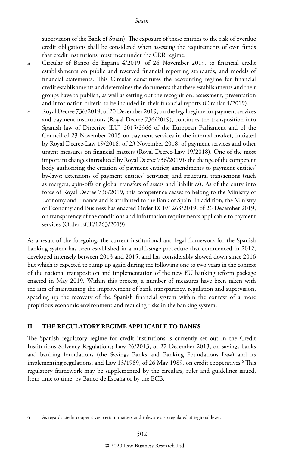supervision of the Bank of Spain). The exposure of these entities to the risk of overdue credit obligations shall be considered when assessing the requirements of own funds that credit institutions must meet under the CRR regime.

- *d* Circular of Banco de España 4/2019, of 26 November 2019, to financial credit establishments on public and reserved financial reporting standards, and models of financial statements. This Circular constitutes the accounting regime for financial credit establishments and determines the documents that these establishments and their groups have to publish, as well as setting out the recognition, assessment, presentation and information criteria to be included in their financial reports (Circular 4/2019).
- *e* Royal Decree 736/2019, of 20 December 2019, on the legal regime for payment services and payment institutions (Royal Decree 736/2019), continues the transposition into Spanish law of Directive (EU) 2015/2366 of the European Parliament and of the Council of 23 November 2015 on payment services in the internal market, initiated by Royal Decree-Law 19/2018, of 23 November 2018, of payment services and other urgent measures on financial matters (Royal Decree-Law 19/2018). One of the most important changes introduced by Royal Decree 736/2019 is the change of the competent body authorising the creation of payment entities; amendments to payment entities' by-laws; extensions of payment entities' activities; and structural transactions (such as mergers, spin-offs or global transfers of assets and liabilities). As of the entry into force of Royal Decree 736/2019, this competence ceases to belong to the Ministry of Economy and Finance and is attributed to the Bank of Spain. In addition, the Ministry of Economy and Business has enacted Order ECE/1263/2019, of 26 December 2019, on transparency of the conditions and information requirements applicable to payment services (Order ECE/1263/2019).

As a result of the foregoing, the current institutional and legal framework for the Spanish banking system has been established in a multi-stage procedure that commenced in 2012, developed intensely between 2013 and 2015, and has considerably slowed down since 2016 but which is expected to rump up again during the following one to two years in the context of the national transposition and implementation of the new EU banking reform package enacted in May 2019. Within this process, a number of measures have been taken with the aim of maintaining the improvement of bank transparency, regulation and supervision, speeding up the recovery of the Spanish financial system within the context of a more propitious economic environment and reducing risks in the banking system.

#### **II THE REGULATORY REGIME APPLICABLE TO BANKS**

The Spanish regulatory regime for credit institutions is currently set out in the Credit Institutions Solvency Regulations; Law 26/2013, of 27 December 2013, on savings banks and banking foundations (the Savings Banks and Banking Foundations Law) and its implementing regulations; and Law 13/1989, of 26 May 1989, on credit cooperatives.<sup>6</sup> This regulatory framework may be supplemented by the circulars, rules and guidelines issued, from time to time, by Banco de España or by the ECB.

<sup>6</sup> As regards credit cooperatives, certain matters and rules are also regulated at regional level.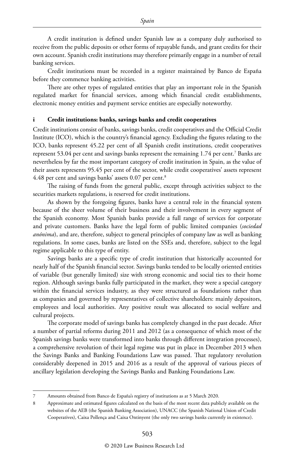A credit institution is defined under Spanish law as a company duly authorised to receive from the public deposits or other forms of repayable funds, and grant credits for their own account. Spanish credit institutions may therefore primarily engage in a number of retail banking services.

Credit institutions must be recorded in a register maintained by Banco de España before they commence banking activities.

There are other types of regulated entities that play an important role in the Spanish regulated market for financial services, among which financial credit establishments, electronic money entities and payment service entities are especially noteworthy.

#### **i Credit institutions: banks, savings banks and credit cooperatives**

Credit institutions consist of banks, savings banks, credit cooperatives and the Official Credit Institute (ICO), which is the country's financial agency. Excluding the figures relating to the ICO, banks represent 45.22 per cent of all Spanish credit institutions, credit cooperatives represent 53.04 per cent and savings banks represent the remaining 1.74 per cent.7 Banks are nevertheless by far the most important category of credit institution in Spain, as the value of their assets represents 95.45 per cent of the sector, while credit cooperatives' assets represent 4.48 per cent and savings banks' assets 0.07 per cent.<sup>8</sup>

The raising of funds from the general public, except through activities subject to the securities markets regulations, is reserved for credit institutions.

As shown by the foregoing figures, banks have a central role in the financial system because of the sheer volume of their business and their involvement in every segment of the Spanish economy. Most Spanish banks provide a full range of services for corporate and private customers. Banks have the legal form of public limited companies (*sociedad anónima*), and are, therefore, subject to general principles of company law as well as banking regulations. In some cases, banks are listed on the SSEs and, therefore, subject to the legal regime applicable to this type of entity.

Savings banks are a specific type of credit institution that historically accounted for nearly half of the Spanish financial sector. Savings banks tended to be locally oriented entities of variable (but generally limited) size with strong economic and social ties to their home region. Although savings banks fully participated in the market, they were a special category within the financial services industry, as they were structured as foundations rather than as companies and governed by representatives of collective shareholders: mainly depositors, employees and local authorities. Any positive result was allocated to social welfare and cultural projects.

The corporate model of savings banks has completely changed in the past decade. After a number of partial reforms during 2011 and 2012 (as a consequence of which most of the Spanish savings banks were transformed into banks through different integration processes), a comprehensive revolution of their legal regime was put in place in December 2013 when the Savings Banks and Banking Foundations Law was passed. That regulatory revolution considerably deepened in 2015 and 2016 as a result of the approval of various pieces of ancillary legislation developing the Savings Banks and Banking Foundations Law.

<sup>7</sup> Amounts obtained from Banco de España's registry of institutions as at 5 March 2020.

<sup>8</sup> Approximate and estimated figures calculated on the basis of the most recent data publicly available on the websites of the AEB (the Spanish Banking Association), UNACC (the Spanish National Union of Credit Cooperatives), Caixa Pollença and Caixa Ontinyent (the only two savings banks currently in existence).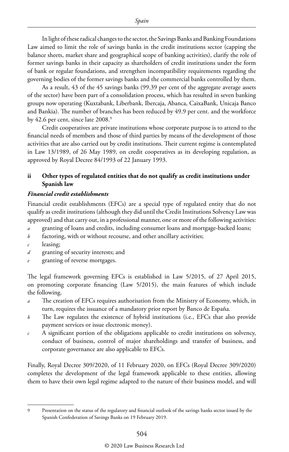In light of these radical changes to the sector, the Savings Banks and Banking Foundations Law aimed to limit the role of savings banks in the credit institutions sector (capping the balance sheets, market share and geographical scope of banking activities), clarify the role of former savings banks in their capacity as shareholders of credit institutions under the form of bank or regular foundations, and strengthen incompatibility requirements regarding the governing bodies of the former savings banks and the commercial banks controlled by them.

As a result, 43 of the 45 savings banks (99.39 per cent of the aggregate average assets of the sector) have been part of a consolidation process, which has resulted in seven banking groups now operating (Kuxtabank, Liberbank, Ibercaja, Abanca, CaixaBank, Unicaja Banco and Bankia). The number of branches has been reduced by 49.9 per cent. and the workforce by 42.6 per cent, since late 2008.<sup>9</sup>

Credit cooperatives are private institutions whose corporate purpose is to attend to the financial needs of members and those of third parties by means of the development of those activities that are also carried out by credit institutions. Their current regime is contemplated in Law 13/1989, of 26 May 1989, on credit cooperatives as its developing regulation, as approved by Royal Decree 84/1993 of 22 January 1993.

#### **ii Other types of regulated entities that do not qualify as credit institutions under Spanish law**

#### *Financial credit establishments*

Financial credit establishments (EFCs) are a special type of regulated entity that do not qualify as credit institutions (although they did until the Credit Institutions Solvency Law was approved) and that carry out, in a professional manner, one or more of the following activities:

- *a* granting of loans and credits, including consumer loans and mortgage-backed loans;
- *b* factoring, with or without recourse, and other ancillary activities;
- *c* leasing;
- *d* granting of security interests; and
- *e* granting of reverse mortgages.

The legal framework governing EFCs is established in Law 5/2015, of 27 April 2015, on promoting corporate financing (Law 5/2015), the main features of which include the following.

- *a* The creation of EFCs requires authorisation from the Ministry of Economy, which, in turn, requires the issuance of a mandatory prior report by Banco de España.
- *b* The Law regulates the existence of hybrid institutions (i.e., EFCs that also provide payment services or issue electronic money).
- *c* A significant portion of the obligations applicable to credit institutions on solvency, conduct of business, control of major shareholdings and transfer of business, and corporate governance are also applicable to EFCs.

Finally, Royal Decree 309/2020, of 11 February 2020, on EFCs (Royal Decree 309/2020) completes the development of the legal framework applicable to these entities, allowing them to have their own legal regime adapted to the nature of their business model, and will

<sup>9</sup> Presentation on the status of the regulatory and financial outlook of the savings banks sector issued by the Spanish Confederation of Savings Banks on 19 February 2019.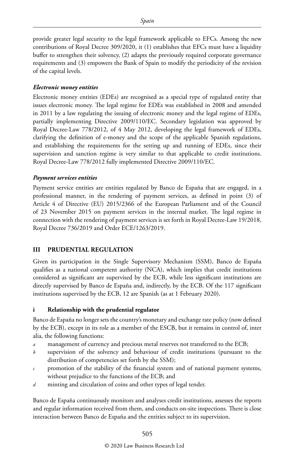provide greater legal security to the legal framework applicable to EFCs. Among the new contributions of Royal Decree 309/2020, it (1) establishes that EFCs must have a liquidity buffer to strengthen their solvency, (2) adapts the previously required corporate governance requirements and (3) empowers the Bank of Spain to modify the periodicity of the revision of the capital levels.

#### *Electronic money entities*

Electronic money entities (EDEs) are recognised as a special type of regulated entity that issues electronic money. The legal regime for EDEs was established in 2008 and amended in 2011 by a law regulating the issuing of electronic money and the legal regime of EDEs, partially implementing Directive 2009/110/EC. Secondary legislation was approved by Royal Decree-Law 778/2012, of 4 May 2012, developing the legal framework of EDEs, clarifying the definition of e-money and the scope of the applicable Spanish regulations, and establishing the requirements for the setting up and running of EDEs, since their supervision and sanction regime is very similar to that applicable to credit institutions. Royal Decree-Law 778/2012 fully implemented Directive 2009/110/EC.

#### *Payment services entities*

Payment service entities are entities regulated by Banco de España that are engaged, in a professional manner, in the rendering of payment services, as defined in point (3) of Article 4 of Directive (EU) 2015/2366 of the European Parliament and of the Council of 23 November 2015 on payment services in the internal market. The legal regime in connection with the rendering of payment services is set forth in Royal Decree-Law 19/2018, Royal Decree 736/2019 and Order ECE/1263/2019.

#### **III PRUDENTIAL REGULATION**

Given its participation in the Single Supervisory Mechanism (SSM), Banco de España qualifies as a national competent authority (NCA), which implies that credit institutions considered as significant are supervised by the ECB, while less significant institutions are directly supervised by Banco de España and, indirectly, by the ECB. Of the 117 significant institutions supervised by the ECB, 12 are Spanish (as at 1 February 2020).

#### **i Relationship with the prudential regulator**

Banco de España no longer sets the country's monetary and exchange rate policy (now defined by the ECB), except in its role as a member of the ESCB, but it remains in control of, inter alia, the following functions:

- *a* management of currency and precious metal reserves not transferred to the ECB;
- *b* supervision of the solvency and behaviour of credit institutions (pursuant to the distribution of competencies set forth by the SSM);
- $c$  promotion of the stability of the financial system and of national payment systems, without prejudice to the functions of the ECB; and
- *d* minting and circulation of coins and other types of legal tender.

Banco de España continuously monitors and analyses credit institutions, assesses the reports and regular information received from them, and conducts on-site inspections. There is close interaction between Banco de España and the entities subject to its supervision.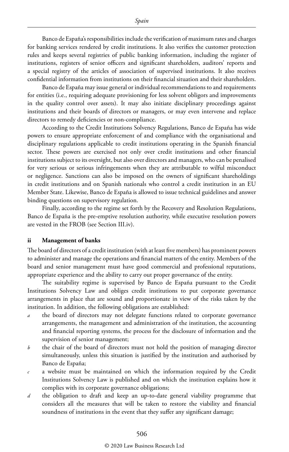Banco de España's responsibilities include the verification of maximum rates and charges for banking services rendered by credit institutions. It also verifies the customer protection rules and keeps several registries of public banking information, including the register of institutions, registers of senior officers and significant shareholders, auditors' reports and a special registry of the articles of association of supervised institutions. It also receives confidential information from institutions on their financial situation and their shareholders.

Banco de España may issue general or individual recommendations to and requirements for entities (i.e., requiring adequate provisioning for less solvent obligors and improvements in the quality control over assets). It may also initiate disciplinary proceedings against institutions and their boards of directors or managers, or may even intervene and replace directors to remedy deficiencies or non-compliance.

According to the Credit Institutions Solvency Regulations, Banco de España has wide powers to ensure appropriate enforcement of and compliance with the organisational and disciplinary regulations applicable to credit institutions operating in the Spanish financial sector. These powers are exercised not only over credit institutions and other financial institutions subject to its oversight, but also over directors and managers, who can be penalised for very serious or serious infringements when they are attributable to wilful misconduct or negligence. Sanctions can also be imposed on the owners of significant shareholdings in credit institutions and on Spanish nationals who control a credit institution in an EU Member State. Likewise, Banco de España is allowed to issue technical guidelines and answer binding questions on supervisory regulation.

Finally, according to the regime set forth by the Recovery and Resolution Regulations, Banco de España is the pre-emptive resolution authority, while executive resolution powers are vested in the FROB (see Section III.iv).

#### **ii Management of banks**

The board of directors of a credit institution (with at least five members) has prominent powers to administer and manage the operations and financial matters of the entity. Members of the board and senior management must have good commercial and professional reputations, appropriate experience and the ability to carry out proper governance of the entity.

The suitability regime is supervised by Banco de España pursuant to the Credit Institutions Solvency Law and obliges credit institutions to put corporate governance arrangements in place that are sound and proportionate in view of the risks taken by the institution. In addition, the following obligations are established:

- *a* the board of directors may not delegate functions related to corporate governance arrangements, the management and administration of the institution, the accounting and financial reporting systems, the process for the disclosure of information and the supervision of senior management;
- *b* the chair of the board of directors must not hold the position of managing director simultaneously, unless this situation is justified by the institution and authorised by Banco de España;
- *c* a website must be maintained on which the information required by the Credit Institutions Solvency Law is published and on which the institution explains how it complies with its corporate governance obligations;
- *d* the obligation to draft and keep an up-to-date general viability programme that considers all the measures that will be taken to restore the viability and financial soundness of institutions in the event that they suffer any significant damage;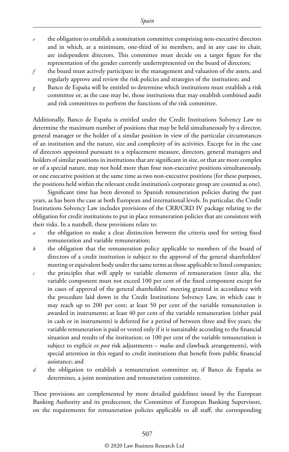- *e* the obligation to establish a nomination committee comprising non-executive directors and in which, at a minimum, one-third of its members, and in any case its chair, are independent directors. This committee must decide on a target figure for the representation of the gender currently underrepresented on the board of directors;
- *f* the board must actively participate in the management and valuation of the assets, and regularly approve and review the risk policies and strategies of the institution; and
- *g* Banco de España will be entitled to determine which institutions must establish a risk committee or, as the case may be, those institutions that may establish combined audit and risk committees to perform the functions of the risk committee.

Additionally, Banco de España is entitled under the Credit Institutions Solvency Law to determine the maximum number of positions that may be held simultaneously by a director, general manager or the holder of a similar position in view of the particular circumstances of an institution and the nature, size and complexity of its activities. Except for in the case of directors appointed pursuant to a replacement measure, directors, general managers and holders of similar positions in institutions that are significant in size, or that are more complex or of a special nature, may not hold more than four non-executive positions simultaneously, or one executive position at the same time as two non-executive positions (for these purposes, the positions held within the relevant credit institution's corporate group are counted as one).

Significant time has been devoted to Spanish remuneration policies during the past years, as has been the case at both European and international levels. In particular, the Credit Institutions Solvency Law includes provisions of the CRR/CRD IV package relating to the obligation for credit institutions to put in place remuneration policies that are consistent with their risks. In a nutshell, these provisions relate to:

- *a* the obligation to make a clear distinction between the criteria used for setting fixed remuneration and variable remuneration;
- *b* the obligation that the remuneration policy applicable to members of the board of directors of a credit institution is subject to the approval of the general shareholders' meeting or equivalent body under the same terms as those applicable to listed companies;
- *c* the principles that will apply to variable elements of remuneration (inter alia, the variable component must not exceed 100 per cent of the fixed component except for in cases of approval of the general shareholders' meeting granted in accordance with the procedure laid down in the Credit Institutions Solvency Law, in which case it may reach up to 200 per cent; at least 50 per cent of the variable remuneration is awarded in instruments; at least 40 per cent of the variable remuneration (either paid in cash or in instruments) is deferred for a period of between three and five years; the variable remuneration is paid or vested only if it is sustainable according to the financial situation and results of the institution; or 100 per cent of the variable remuneration is subject to explicit *ex post* risk adjustments – *malus* and clawback arrangements), with special attention in this regard to credit institutions that benefit from public financial assistance; and
- *d* the obligation to establish a remuneration committee or, if Banco de España so determines, a joint nomination and remuneration committee.

These provisions are complemented by more detailed guidelines issued by the European Banking Authority and its predecessor, the Committee of European Banking Supervisors, on the requirements for remuneration policies applicable to all staff, the corresponding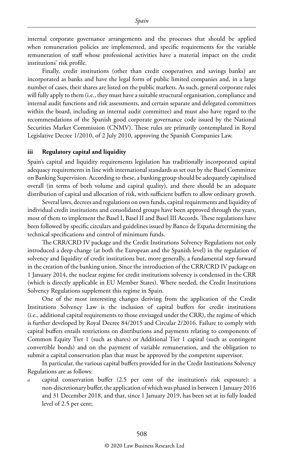internal corporate governance arrangements and the processes that should be applied when remuneration policies are implemented, and specific requirements for the variable remuneration of staff whose professional activities have a material impact on the credit institutions' risk profile.

Finally, credit institutions (other than credit cooperatives and savings banks) are incorporated as banks and have the legal form of public limited companies and, in a large number of cases, their shares are listed on the public markets. As such, general corporate rules will fully apply to them (i.e., they must have a suitable structural organisation, compliance and internal audit functions and risk assessments, and certain separate and delegated committees within the board, including an internal audit committee) and must also have regard to the recommendations of the Spanish good corporate governance code issued by the National Securities Market Commission (CNMV). These rules are primarily contemplated in Royal Legislative Decree 1/2010, of 2 July 2010, approving the Spanish Companies Law.

#### **iii Regulatory capital and liquidity**

Spain's capital and liquidity requirements legislation has traditionally incorporated capital adequacy requirements in line with international standards as set out by the Basel Committee on Banking Supervision. According to these, a banking group should be adequately capitalised overall (in terms of both volume and capital quality), and there should be an adequate distribution of capital and allocation of risk, with sufficient buffers to allow ordinary growth.

Several laws, decrees and regulations on own funds, capital requirements and liquidity of individual credit institutions and consolidated groups have been approved through the years, most of them to implement the Basel I, Basel II and Basel III Accords. These regulations have been followed by specific circulars and guidelines issued by Banco de España determining the technical specifications and control of minimum funds.

The CRR/CRD IV package and the Credit Institutions Solvency Regulations not only introduced a deep change (at both the European and the Spanish level) in the regulation of solvency and liquidity of credit institutions but, more generally, a fundamental step forward in the creation of the banking union. Since the introduction of the CRR/CRD IV package on 1 January 2014, the nuclear regime for credit institutions solvency is condensed in the CRR (which is directly applicable in EU Member States). Where needed, the Credit Institutions Solvency Regulations supplement this regime in Spain.

One of the most interesting changes deriving from the application of the Credit Institutions Solvency Law is the inclusion of capital buffers for credit institutions (i.e., additional capital requirements to those envisaged under the CRR), the regime of which is further developed by Royal Decree 84/2015 and Circular 2/2016. Failure to comply with capital buffers entails restrictions on distributions and payments relating to components of Common Equity Tier 1 (such as shares) or Additional Tier 1 capital (such as contingent convertible bonds) and on the payment of variable remuneration, and the obligation to submit a capital conservation plan that must be approved by the competent supervisor.

In particular, the various capital buffers provided for in the Credit Institutions Solvency Regulations are as follows:

*a* capital conservation buffer (2.5 per cent of the institution's risk exposure): a non-discretionary buffer, the application of which was phased in between 1 January 2016 and 31 December 2018, and that, since 1 January 2019, has been set at its fully loaded level of 2.5 per cent;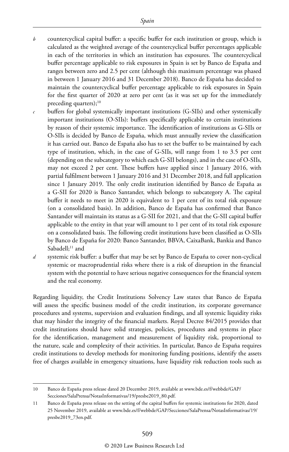- *b* countercyclical capital buffer: a specific buffer for each institution or group, which is calculated as the weighted average of the countercyclical buffer percentages applicable in each of the territories in which an institution has exposures. The countercyclical buffer percentage applicable to risk exposures in Spain is set by Banco de España and ranges between zero and 2.5 per cent (although this maximum percentage was phased in between 1 January 2016 and 31 December 2018). Banco de España has decided to maintain the countercyclical buffer percentage applicable to risk exposures in Spain for the first quarter of 2020 at zero per cent (as it was set up for the immediately preceding quarters); $^{10}$
- buffers for global systemically important institutions (G-SIIs) and other systemically important institutions (O-SIIs): buffers specifically applicable to certain institutions by reason of their systemic importance. The identification of institutions as G-SIIs or O-SIIs is decided by Banco de España, which must annually review the classification it has carried out. Banco de España also has to set the buffer to be maintained by each type of institution, which, in the case of G-SIIs, will range from 1 to 3.5 per cent (depending on the subcategory to which each G-SII belongs), and in the case of O-SIIs, may not exceed 2 per cent. These buffers have applied since 1 January 2016, with partial fulfilment between 1 January 2016 and 31 December 2018, and full application since 1 January 2019. The only credit institution identified by Banco de España as a G-SII for 2020 is Banco Santander, which belongs to subcategory A. The capital buffer it needs to meet in 2020 is equivalent to 1 per cent of its total risk exposure (on a consolidated basis). In addition, Banco de España has confirmed that Banco Santander will maintain its status as a G-SII for 2021, and that the G-SII capital buffer applicable to the entity in that year will amount to 1 per cent of its total risk exposure on a consolidated basis. The following credit institutions have been classified as O-SIIs by Banco de España for 2020: Banco Santander, BBVA, CaixaBank, Bankia and Banco Sabadell; $11$  and
- *d* systemic risk buffer: a buffer that may be set by Banco de España to cover non-cyclical systemic or macroprudential risks where there is a risk of disruption in the financial system with the potential to have serious negative consequences for the financial system and the real economy.

Regarding liquidity, the Credit Institutions Solvency Law states that Banco de España will assess the specific business model of the credit institution, its corporate governance procedures and systems, supervision and evaluation findings, and all systemic liquidity risks that may hinder the integrity of the financial markets. Royal Decree 84/2015 provides that credit institutions should have solid strategies, policies, procedures and systems in place for the identification, management and measurement of liquidity risk, proportional to the nature, scale and complexity of their activities. In particular, Banco de España requires credit institutions to develop methods for monitoring funding positions, identify the assets free of charges available in emergency situations, have liquidity risk reduction tools such as

<sup>10</sup> Banco de España press release dated 20 December 2019, available at www.bde.es/f/webbde/GAP/ Secciones/SalaPrensa/NotasInformativas/19/presbe2019\_80.pdf.

<sup>11</sup> Banco de España press release on the setting of the capital buffers for systemic institutions for 2020, dated 25 November 2019, available at www.bde.es/f/webbde/GAP/Secciones/SalaPrensa/NotasInformativas/19/ presbe2019\_73en.pdf.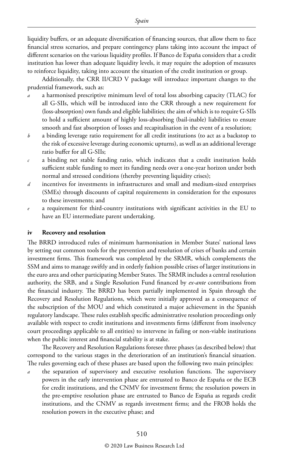liquidity buffers, or an adequate diversification of financing sources, that allow them to face financial stress scenarios, and prepare contingency plans taking into account the impact of different scenarios on the various liquidity profiles. If Banco de España considers that a credit institution has lower than adequate liquidity levels, it may require the adoption of measures to reinforce liquidity, taking into account the situation of the credit institution or group.

Additionally, the CRR II/CRD V package will introduce important changes to the prudential framework, such as:

- a harmonised prescriptive minimum level of total loss absorbing capacity (TLAC) for all G-SIIs, which will be introduced into the CRR through a new requirement for (loss-absorption) own funds and eligible liabilities; the aim of which is to require G-SIIs to hold a sufficient amount of highly loss-absorbing (bail-inable) liabilities to ensure smooth and fast absorption of losses and recapitalisation in the event of a resolution;
- *b* a binding leverage ratio requirement for all credit institutions (to act as a backstop to the risk of excessive leverage during economic upturns), as well as an additional leverage ratio buffer for all G-SIIs;
- *c* a binding net stable funding ratio, which indicates that a credit institution holds sufficient stable funding to meet its funding needs over a one-year horizon under both normal and stressed conditions (thereby preventing liquidity crises);
- *d* incentives for investments in infrastructures and small and medium-sized enterprises (SMEs) through discounts of capital requirements in consideration for the exposures to these investments; and
- a requirement for third-country institutions with significant activities in the EU to have an EU intermediate parent undertaking.

#### **iv Recovery and resolution**

The BRRD introduced rules of minimum harmonisation in Member States' national laws by setting out common tools for the prevention and resolution of crises of banks and certain investment firms. This framework was completed by the SRMR, which complements the SSM and aims to manage swiftly and in orderly fashion possible crises of larger institutions in the euro area and other participating Member States. The SRMR includes a central resolution authority, the SRB, and a Single Resolution Fund financed by *ex-ante* contributions from the financial industry. The BRRD has been partially implemented in Spain through the Recovery and Resolution Regulations, which were initially approved as a consequence of the subscription of the MOU and which constituted a major achievement in the Spanish regulatory landscape. These rules establish specific administrative resolution proceedings only available with respect to credit institutions and investments firms (different from insolvency court proceedings applicable to all entities) to intervene in failing or non-viable institutions when the public interest and financial stability is at stake.

The Recovery and Resolution Regulations foresee three phases (as described below) that correspond to the various stages in the deterioration of an institution's financial situation. The rules governing each of these phases are based upon the following two main principles:

the separation of supervisory and executive resolution functions. The supervisory powers in the early intervention phase are entrusted to Banco de España or the ECB for credit institutions, and the CNMV for investment firms; the resolution powers in the pre-emptive resolution phase are entrusted to Banco de España as regards credit institutions, and the CNMV as regards investment firms; and the FROB holds the resolution powers in the executive phase; and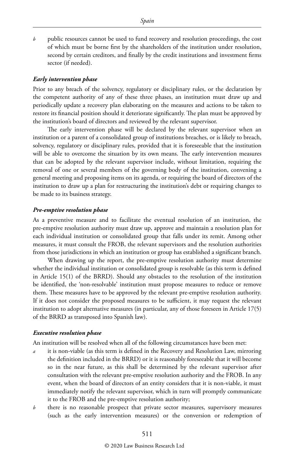*b* public resources cannot be used to fund recovery and resolution proceedings, the cost of which must be borne first by the shareholders of the institution under resolution, second by certain creditors, and finally by the credit institutions and investment firms sector (if needed).

#### *Early intervention phase*

Prior to any breach of the solvency, regulatory or disciplinary rules, or the declaration by the competent authority of any of these three phases, an institution must draw up and periodically update a recovery plan elaborating on the measures and actions to be taken to restore its financial position should it deteriorate significantly. The plan must be approved by the institution's board of directors and reviewed by the relevant supervisor.

The early intervention phase will be declared by the relevant supervisor when an institution or a parent of a consolidated group of institutions breaches, or is likely to breach, solvency, regulatory or disciplinary rules, provided that it is foreseeable that the institution will be able to overcome the situation by its own means. The early intervention measures that can be adopted by the relevant supervisor include, without limitation, requiring the removal of one or several members of the governing body of the institution, convening a general meeting and proposing items on its agenda, or requiring the board of directors of the institution to draw up a plan for restructuring the institution's debt or requiring changes to be made to its business strategy.

#### *Pre-emptive resolution phase*

As a preventive measure and to facilitate the eventual resolution of an institution, the pre-emptive resolution authority must draw up, approve and maintain a resolution plan for each individual institution or consolidated group that falls under its remit. Among other measures, it must consult the FROB, the relevant supervisors and the resolution authorities from those jurisdictions in which an institution or group has established a significant branch.

When drawing up the report, the pre-emptive resolution authority must determine whether the individual institution or consolidated group is resolvable (as this term is defined in Article 15(1) of the BRRD). Should any obstacles to the resolution of the institution be identified, the 'non-resolvable' institution must propose measures to reduce or remove them. These measures have to be approved by the relevant pre-emptive resolution authority. If it does not consider the proposed measures to be sufficient, it may request the relevant institution to adopt alternative measures (in particular, any of those foreseen in Article 17(5) of the BRRD as transposed into Spanish law).

#### *Executive resolution phase*

An institution will be resolved when all of the following circumstances have been met:

- *a* it is non-viable (as this term is defined in the Recovery and Resolution Law, mirroring the definition included in the BRRD) or it is reasonably foreseeable that it will become so in the near future, as this shall be determined by the relevant supervisor after consultation with the relevant pre-emptive resolution authority and the FROB. In any event, when the board of directors of an entity considers that it is non-viable, it must immediately notify the relevant supervisor, which in turn will promptly communicate it to the FROB and the pre-emptive resolution authority;
- *b* there is no reasonable prospect that private sector measures, supervisory measures (such as the early intervention measures) or the conversion or redemption of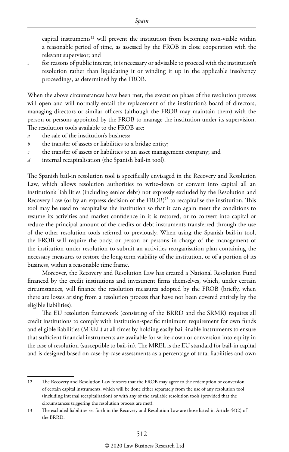capital instruments<sup>12</sup> will prevent the institution from becoming non-viable within a reasonable period of time, as assessed by the FROB in close cooperation with the relevant supervisor; and

*c* for reasons of public interest, it is necessary or advisable to proceed with the institution's resolution rather than liquidating it or winding it up in the applicable insolvency proceedings, as determined by the FROB.

When the above circumstances have been met, the execution phase of the resolution process will open and will normally entail the replacement of the institution's board of directors, managing directors or similar officers (although the FROB may maintain them) with the person or persons appointed by the FROB to manage the institution under its supervision. The resolution tools available to the FROB are:

- *a* the sale of the institution's business:
- *b* the transfer of assets or liabilities to a bridge entity;
- *c* the transfer of assets or liabilities to an asset management company; and
- *d* internal recapitalisation (the Spanish bail-in tool).

The Spanish bail-in resolution tool is specifically envisaged in the Recovery and Resolution Law, which allows resolution authorities to write-down or convert into capital all an institution's liabilities (including senior debt) not expressly excluded by the Resolution and Recovery Law (or by an express decision of the FROB)<sup>13</sup> to recapitalise the institution. This tool may be used to recapitalise the institution so that it can again meet the conditions to resume its activities and market confidence in it is restored, or to convert into capital or reduce the principal amount of the credits or debt instruments transferred through the use of the other resolution tools referred to previously. When using the Spanish bail-in tool, the FROB will require the body, or person or persons in charge of the management of the institution under resolution to submit an activities reorganisation plan containing the necessary measures to restore the long-term viability of the institution, or of a portion of its business, within a reasonable time frame.

Moreover, the Recovery and Resolution Law has created a National Resolution Fund financed by the credit institutions and investment firms themselves, which, under certain circumstances, will finance the resolution measures adopted by the FROB (briefly, when there are losses arising from a resolution process that have not been covered entirely by the eligible liabilities).

The EU resolution framework (consisting of the BRRD and the SRMR) requires all credit institutions to comply with institution-specific minimum requirement for own funds and eligible liabilities (MREL) at all times by holding easily bail-inable instruments to ensure that sufficient financial instruments are available for write-down or conversion into equity in the case of resolution (susceptible to bail-in). The MREL is the EU standard for bail-in capital and is designed based on case-by-case assessments as a percentage of total liabilities and own

<sup>12</sup> The Recovery and Resolution Law foresees that the FROB may agree to the redemption or conversion of certain capital instruments, which will be done either separately from the use of any resolution tool (including internal recapitalisation) or with any of the available resolution tools (provided that the circumstances triggering the resolution process are met).

<sup>13</sup> The excluded liabilities set forth in the Recovery and Resolution Law are those listed in Article 44(2) of the BRRD.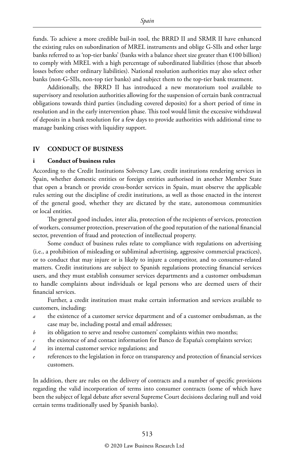funds. To achieve a more credible bail-in tool, the BRRD II and SRMR II have enhanced the existing rules on subordination of MREL instruments and oblige G-SIIs and other large banks referred to as 'top-tier banks' (banks with a balance sheet size greater than  $\epsilon$ 100 billion) to comply with MREL with a high percentage of subordinated liabilities (those that absorb losses before other ordinary liabilities). National resolution authorities may also select other banks (non-G-SIIs, non-top tier banks) and subject them to the top-tier bank treatment.

Additionally, the BRRD II has introduced a new moratorium tool available to supervisory and resolution authorities allowing for the suspension of certain bank contractual obligations towards third parties (including covered deposits) for a short period of time in resolution and in the early intervention phase. This tool would limit the excessive withdrawal of deposits in a bank resolution for a few days to provide authorities with additional time to manage banking crises with liquidity support.

#### **IV CONDUCT OF BUSINESS**

#### **i Conduct of business rules**

According to the Credit Institutions Solvency Law, credit institutions rendering services in Spain, whether domestic entities or foreign entities authorised in another Member State that open a branch or provide cross-border services in Spain, must observe the applicable rules setting out the discipline of credit institutions, as well as those enacted in the interest of the general good, whether they are dictated by the state, autonomous communities or local entities.

The general good includes, inter alia, protection of the recipients of services, protection of workers, consumer protection, preservation of the good reputation of the national financial sector, prevention of fraud and protection of intellectual property.

Some conduct of business rules relate to compliance with regulations on advertising (i.e., a prohibition of misleading or subliminal advertising, aggressive commercial practices), or to conduct that may injure or is likely to injure a competitor, and to consumer-related matters. Credit institutions are subject to Spanish regulations protecting financial services users, and they must establish consumer services departments and a customer ombudsman to handle complaints about individuals or legal persons who are deemed users of their financial services.

Further, a credit institution must make certain information and services available to customers, including:

- *a* the existence of a customer service department and of a customer ombudsman, as the case may be, including postal and email addresses;
- *b* its obligation to serve and resolve customers' complaints within two months;
- *c* the existence of and contact information for Banco de España's complaints service;
- *d* its internal customer service regulations; and
- references to the legislation in force on transparency and protection of financial services customers.

In addition, there are rules on the delivery of contracts and a number of specific provisions regarding the valid incorporation of terms into consumer contracts (some of which have been the subject of legal debate after several Supreme Court decisions declaring null and void certain terms traditionally used by Spanish banks).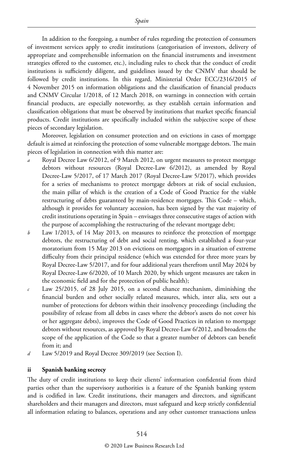In addition to the foregoing, a number of rules regarding the protection of consumers of investment services apply to credit institutions (categorisation of investors, delivery of appropriate and comprehensible information on the financial instruments and investment strategies offered to the customer, etc.), including rules to check that the conduct of credit institutions is sufficiently diligent, and guidelines issued by the CNMV that should be followed by credit institutions. In this regard, Ministerial Order ECC/2316/2015 of 4 November 2015 on information obligations and the classification of financial products and CNMV Circular 1/2018, of 12 March 2018, on warnings in connection with certain financial products, are especially noteworthy, as they establish certain information and classification obligations that must be observed by institutions that market specific financial products. Credit institutions are specifically included within the subjective scope of these pieces of secondary legislation.

Moreover, legislation on consumer protection and on evictions in cases of mortgage default is aimed at reinforcing the protection of some vulnerable mortgage debtors. The main pieces of legislation in connection with this matter are:

- *a* Royal Decree Law 6/2012, of 9 March 2012, on urgent measures to protect mortgage debtors without resources (Royal Decree-Law 6/2012), as amended by Royal Decree-Law 5/2017, of 17 March 2017 (Royal Decree-Law 5/2017), which provides for a series of mechanisms to protect mortgage debtors at risk of social exclusion, the main pillar of which is the creation of a Code of Good Practice for the viable restructuring of debts guaranteed by main-residence mortgages. This Code – which, although it provides for voluntary accession, has been signed by the vast majority of credit institutions operating in Spain – envisages three consecutive stages of action with the purpose of accomplishing the restructuring of the relevant mortgage debt;
- *b* Law 1/2013, of 14 May 2013, on measures to reinforce the protection of mortgage debtors, the restructuring of debt and social renting, which established a four-year moratorium from 15 May 2013 on evictions on mortgagors in a situation of extreme difficulty from their principal residence (which was extended for three more years by Royal Decree-Law 5/2017, and for four additional years therefrom until May 2024 by Royal Decree-Law 6/2020, of 10 March 2020, by which urgent measures are taken in the economic field and for the protection of public health);
- *c* Law 25/2015, of 28 July 2015, on a second chance mechanism, diminishing the financial burden and other socially related measures, which, inter alia, sets out a number of protections for debtors within their insolvency proceedings (including the possibility of release from all debts in cases where the debtor's assets do not cover his or her aggregate debts), improves the Code of Good Practices in relation to mortgage debtors without resources, as approved by Royal Decree-Law 6/2012, and broadens the scope of the application of the Code so that a greater number of debtors can benefit from it; and
- *d* Law 5/2019 and Royal Decree 309/2019 (see Section I).

#### **ii Spanish banking secrecy**

The duty of credit institutions to keep their clients' information confidential from third parties other than the supervisory authorities is a feature of the Spanish banking system and is codified in law. Credit institutions, their managers and directors, and significant shareholders and their managers and directors, must safeguard and keep strictly confidential all information relating to balances, operations and any other customer transactions unless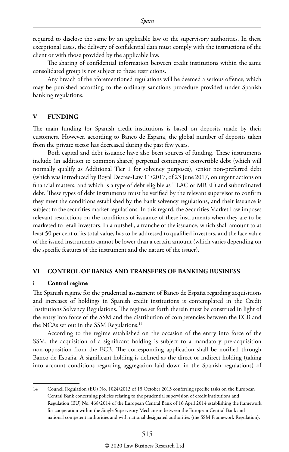required to disclose the same by an applicable law or the supervisory authorities. In these exceptional cases, the delivery of confidential data must comply with the instructions of the client or with those provided by the applicable law.

The sharing of confidential information between credit institutions within the same consolidated group is not subject to these restrictions.

Any breach of the aforementioned regulations will be deemed a serious offence, which may be punished according to the ordinary sanctions procedure provided under Spanish banking regulations.

#### **V FUNDING**

The main funding for Spanish credit institutions is based on deposits made by their customers. However, according to Banco de España, the global number of deposits taken from the private sector has decreased during the past few years.

Both capital and debt issuance have also been sources of funding. These instruments include (in addition to common shares) perpetual contingent convertible debt (which will normally qualify as Additional Tier 1 for solvency purposes), senior non-preferred debt (which was introduced by Royal Decree-Law 11/2017, of 23 June 2017, on urgent actions on financial matters, and which is a type of debt eligible as TLAC or MREL) and subordinated debt. These types of debt instruments must be verified by the relevant supervisor to confirm they meet the conditions established by the bank solvency regulations, and their issuance is subject to the securities market regulations. In this regard, the Securities Market Law imposes relevant restrictions on the conditions of issuance of these instruments when they are to be marketed to retail investors. In a nutshell, a tranche of the issuance, which shall amount to at least 50 per cent of its total value, has to be addressed to qualified investors, and the face value of the issued instruments cannot be lower than a certain amount (which varies depending on the specific features of the instrument and the nature of the issuer).

#### **VI CONTROL OF BANKS AND TRANSFERS OF BANKING BUSINESS**

#### **i Control regime**

The Spanish regime for the prudential assessment of Banco de España regarding acquisitions and increases of holdings in Spanish credit institutions is contemplated in the Credit Institutions Solvency Regulations. The regime set forth therein must be construed in light of the entry into force of the SSM and the distribution of competencies between the ECB and the NCAs set out in the SSM Regulations.<sup>14</sup>

According to the regime established on the occasion of the entry into force of the SSM, the acquisition of a significant holding is subject to a mandatory pre-acquisition non-opposition from the ECB. The corresponding application shall be notified through Banco de España. A significant holding is defined as the direct or indirect holding (taking into account conditions regarding aggregation laid down in the Spanish regulations) of

<sup>14</sup> Council Regulation (EU) No. 1024/2013 of 15 October 2013 conferring specific tasks on the European Central Bank concerning policies relating to the prudential supervision of credit institutions and Regulation (EU) No. 468/2014 of the European Central Bank of 16 April 2014 establishing the framework for cooperation within the Single Supervisory Mechanism between the European Central Bank and national competent authorities and with national designated authorities (the SSM Framework Regulation).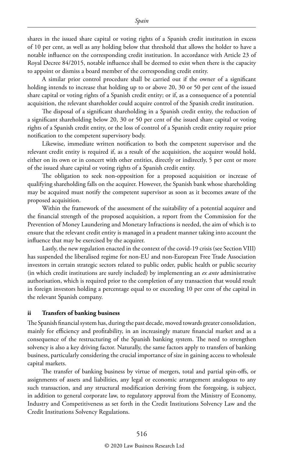shares in the issued share capital or voting rights of a Spanish credit institution in excess of 10 per cent, as well as any holding below that threshold that allows the holder to have a notable influence on the corresponding credit institution. In accordance with Article 23 of Royal Decree 84/2015, notable influence shall be deemed to exist when there is the capacity to appoint or dismiss a board member of the corresponding credit entity.

A similar prior control procedure shall be carried out if the owner of a significant holding intends to increase that holding up to or above 20, 30 or 50 per cent of the issued share capital or voting rights of a Spanish credit entity; or if, as a consequence of a potential acquisition, the relevant shareholder could acquire control of the Spanish credit institution.

The disposal of a significant shareholding in a Spanish credit entity, the reduction of a significant shareholding below 20, 30 or 50 per cent of the issued share capital or voting rights of a Spanish credit entity, or the loss of control of a Spanish credit entity require prior notification to the competent supervisory body.

Likewise, immediate written notification to both the competent supervisor and the relevant credit entity is required if, as a result of the acquisition, the acquirer would hold, either on its own or in concert with other entities, directly or indirectly, 5 per cent or more of the issued share capital or voting rights of a Spanish credit entity.

The obligation to seek non-opposition for a proposed acquisition or increase of qualifying shareholding falls on the acquirer. However, the Spanish bank whose shareholding may be acquired must notify the competent supervisor as soon as it becomes aware of the proposed acquisition.

Within the framework of the assessment of the suitability of a potential acquirer and the financial strength of the proposed acquisition, a report from the Commission for the Prevention of Money Laundering and Monetary Infractions is needed, the aim of which is to ensure that the relevant credit entity is managed in a prudent manner taking into account the influence that may be exercised by the acquirer.

Lastly, the new regulation enacted in the context of the covid-19 crisis (see Section VIII) has suspended the liberalised regime for non-EU and non-European Free Trade Association investors in certain strategic sectors related to public order, public health or public security (in which credit institutions are surely included) by implementing an *ex ante* administrative authorisation, which is required prior to the completion of any transaction that would result in foreign investors holding a percentage equal to or exceeding 10 per cent of the capital in the relevant Spanish company.

#### **ii Transfers of banking business**

The Spanish financial system has, during the past decade, moved towards greater consolidation, mainly for efficiency and profitability, in an increasingly mature financial market and as a consequence of the restructuring of the Spanish banking system. The need to strengthen solvency is also a key driving factor. Naturally, the same factors apply to transfers of banking business, particularly considering the crucial importance of size in gaining access to wholesale capital markets.

The transfer of banking business by virtue of mergers, total and partial spin-offs, or assignments of assets and liabilities, any legal or economic arrangement analogous to any such transaction, and any structural modification deriving from the foregoing, is subject, in addition to general corporate law, to regulatory approval from the Ministry of Economy, Industry and Competitiveness as set forth in the Credit Institutions Solvency Law and the Credit Institutions Solvency Regulations.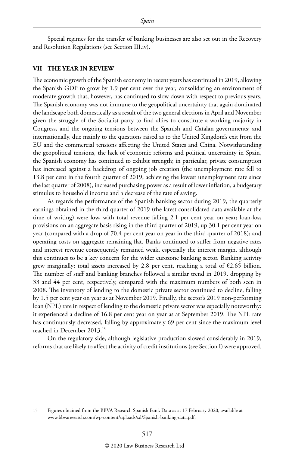Special regimes for the transfer of banking businesses are also set out in the Recovery and Resolution Regulations (see Section III.iv).

#### **VII THE YEAR IN REVIEW**

The economic growth of the Spanish economy in recent years has continued in 2019, allowing the Spanish GDP to grow by 1.9 per cent over the year, consolidating an environment of moderate growth that, however, has continued to slow down with respect to previous years. The Spanish economy was not immune to the geopolitical uncertainty that again dominated the landscape both domestically as a result of the two general elections in April and November given the struggle of the Socialist party to find allies to constitute a working majority in Congress, and the ongoing tensions between the Spanish and Catalan governments; and internationally, due mainly to the questions raised as to the United Kingdom's exit from the EU and the commercial tensions affecting the United States and China. Notwithstanding the geopolitical tensions, the lack of economic reforms and political uncertainty in Spain, the Spanish economy has continued to exhibit strength; in particular, private consumption has increased against a backdrop of ongoing job creation (the unemployment rate fell to 13.8 per cent in the fourth quarter of 2019, achieving the lowest unemployment rate since the last quarter of 2008), increased purchasing power as a result of lower inflation, a budgetary stimulus to household income and a decrease of the rate of saving.

As regards the performance of the Spanish banking sector during 2019, the quarterly earnings obtained in the third quarter of 2019 (the latest consolidated data available at the time of writing) were low, with total revenue falling 2.1 per cent year on year; loan-loss provisions on an aggregate basis rising in the third quarter of 2019, up 30.1 per cent year on year (compared with a drop of 70.4 per cent year on year in the third quarter of 2018); and operating costs on aggregate remaining flat. Banks continued to suffer from negative rates and interest revenue consequently remained weak, especially the interest margin, although this continues to be a key concern for the wider eurozone banking sector. Banking activity grew marginally: total assets increased by 2.8 per cent, reaching a total of  $\epsilon$ 2.65 billion. The number of staff and banking branches followed a similar trend in 2019, dropping by 33 and 44 per cent, respectively, compared with the maximum numbers of both seen in 2008. The inventory of lending to the domestic private sector continued to decline, falling by 1.5 per cent year on year as at November 2019. Finally, the sector's 2019 non-performing loan (NPL) rate in respect of lending to the domestic private sector was especially noteworthy: it experienced a decline of 16.8 per cent year on year as at September 2019. The NPL rate has continuously decreased, falling by approximately 69 per cent since the maximum level reached in December 2013.15

On the regulatory side, although legislative production slowed considerably in 2019, reforms that are likely to affect the activity of credit institutions (see Section I) were approved.

<sup>15</sup> Figures obtained from the BBVA Research Spanish Bank Data as at 17 February 2020, available at www.bbvaresearch.com/wp-content/uploads/sd/Spanish-banking-data.pdf.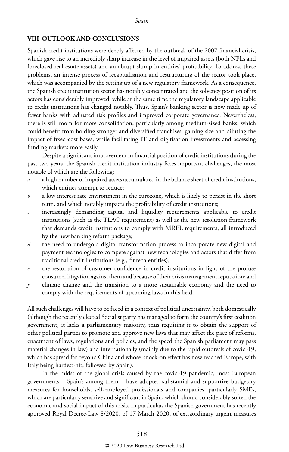#### **VIII OUTLOOK AND CONCLUSIONS**

Spanish credit institutions were deeply affected by the outbreak of the 2007 financial crisis, which gave rise to an incredibly sharp increase in the level of impaired assets (both NPLs and foreclosed real estate assets) and an abrupt slump in entities' profitability. To address these problems, an intense process of recapitalisation and restructuring of the sector took place, which was accompanied by the setting up of a new regulatory framework. As a consequence, the Spanish credit institution sector has notably concentrated and the solvency position of its actors has considerably improved, while at the same time the regulatory landscape applicable to credit institutions has changed notably. Thus, Spain's banking sector is now made up of fewer banks with adjusted risk profiles and improved corporate governance. Nevertheless, there is still room for more consolidation, particularly among medium-sized banks, which could benefit from holding stronger and diversified franchises, gaining size and diluting the impact of fixed-cost bases, while facilitating IT and digitisation investments and accessing funding markets more easily.

Despite a significant improvement in financial position of credit institutions during the past two years, the Spanish credit institution industry faces important challenges, the most notable of which are the following:

- *a* a high number of impaired assets accumulated in the balance sheet of credit institutions, which entities attempt to reduce;
- *b* a low interest rate environment in the eurozone, which is likely to persist in the short term, and which notably impacts the profitability of credit institutions;
- *c* increasingly demanding capital and liquidity requirements applicable to credit institutions (such as the TLAC requirement) as well as the new resolution framework that demands credit institutions to comply with MREL requirements, all introduced by the new banking reform package;
- *d* the need to undergo a digital transformation process to incorporate new digital and payment technologies to compete against new technologies and actors that differ from traditional credit institutions (e.g., fintech entities);
- *e* the restoration of customer confidence in credit institutions in light of the profuse consumer litigation against them and because of their crisis management reputation; and
- *f* climate change and the transition to a more sustainable economy and the need to comply with the requirements of upcoming laws in this field.

All such challenges will have to be faced in a context of political uncertainty, both domestically (although the recently elected Socialist party has managed to form the country's first coalition government, it lacks a parliamentary majority, thus requiring it to obtain the support of other political parties to promote and approve new laws that may affect the pace of reforms, enactment of laws, regulations and policies, and the speed the Spanish parliament may pass material changes in law) and internationally (mainly due to the rapid outbreak of covid-19, which has spread far beyond China and whose knock-on effect has now reached Europe, with Italy being hardest-hit, followed by Spain).

In the midst of the global crisis caused by the covid-19 pandemic, most European governments – Spain's among them – have adopted substantial and supportive budgetary measures for households, self-employed professionals and companies, particularly SMEs, which are particularly sensitive and significant in Spain, which should considerably soften the economic and social impact of this crisis. In particular, the Spanish government has recently approved Royal Decree-Law 8/2020, of 17 March 2020, of extraordinary urgent measures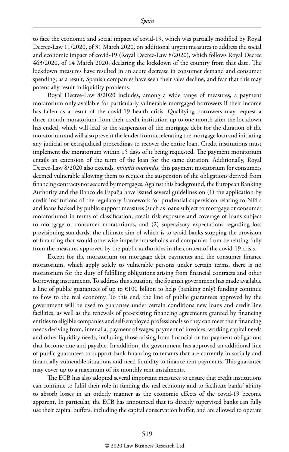to face the economic and social impact of covid-19, which was partially modified by Royal Decree-Law 11/2020, of 31 March 2020, on additional urgent measures to address the social and economic impact of covid-19 (Royal Decree-Law 8/2020), which follows Royal Decree 463/2020, of 14 March 2020, declaring the lockdown of the country from that date. The lockdown measures have resulted in an acute decrease in consumer demand and consumer spending; as a result, Spanish companies have seen their sales decline, and fear that this may potentially result in liquidity problems.

Royal Decree-Law 8/2020 includes, among a wide range of measures, a payment moratorium only available for particularly vulnerable mortgaged borrowers if their income has fallen as a result of the covid-19 health crisis. Qualifying borrowers may request a three-month moratorium from their credit institution up to one month after the lockdown has ended, which will lead to the suspension of the mortgage debt for the duration of the moratorium and will also prevent the lender from accelerating the mortgage loan and initiating any judicial or extrajudicial proceedings to recover the entire loan. Credit institutions must implement the moratorium within 15 days of it being requested. The payment moratorium entails an extension of the term of the loan for the same duration. Additionally, Royal Decree-Law 8/2020 also extends, *mutatis mutandis*, this payment moratorium for consumers deemed vulnerable allowing them to request the suspension of the obligations derived from financing contracts not secured by mortgages. Against this background, the European Banking Authority and the Banco de España have issued several guidelines on (1) the application by credit institutions of the regulatory framework for prudential supervision relating to NPLs and loans backed by public support measures (such as loans subject to mortgage or consumer moratoriums) in terms of classification, credit risk exposure and coverage of loans subject to mortgage or consumer moratoriums, and (2) supervisory expectations regarding loss provisioning standards; the ultimate aim of which is to avoid banks stopping the provision of financing that would otherwise impede households and companies from benefiting fully from the measures approved by the public authorities in the context of the covid-19 crisis.

Except for the moratorium on mortgage debt payments and the consumer finance moratorium, which apply solely to vulnerable persons under certain terms, there is no moratorium for the duty of fulfilling obligations arising from financial contracts and other borrowing instruments. To address this situation, the Spanish government has made available a line of public guarantees of up to  $\epsilon$ 100 billion to help (banking only) funding continue to flow to the real economy. To this end, the line of public guarantees approved by the government will be used to guarantee under certain conditions new loans and credit line facilities, as well as the renewals of pre-existing financing agreements granted by financing entities to eligible companies and self-employed professionals so they can meet their financing needs deriving from, inter alia, payment of wages, payment of invoices, working capital needs and other liquidity needs, including those arising from financial or tax payment obligations that become due and payable. In addition, the government has approved an additional line of public guarantees to support bank financing to tenants that are currently in socially and financially vulnerable situations and need liquidity to finance rent payments. This guarantee may cover up to a maximum of six monthly rent instalments.

The ECB has also adopted several important measures to ensure that credit institutions can continue to fulfil their role in funding the real economy and to facilitate banks' ability to absorb losses in an orderly manner as the economic effects of the covid-19 become apparent. In particular, the ECB has announced that its directly supervised banks can fully use their capital buffers, including the capital conservation buffer, and are allowed to operate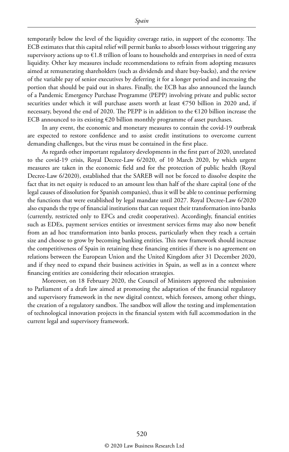temporarily below the level of the liquidity coverage ratio, in support of the economy. The ECB estimates that this capital relief will permit banks to absorb losses without triggering any supervisory actions up to  $\epsilon$ 1.8 trillion of loans to households and enterprises in need of extra liquidity. Other key measures include recommendations to refrain from adopting measures aimed at remunerating shareholders (such as dividends and share buy-backs), and the review of the variable pay of senior executives by deferring it for a longer period and increasing the portion that should be paid out in shares. Finally, the ECB has also announced the launch of a Pandemic Emergency Purchase Programme (PEPP) involving private and public sector securities under which it will purchase assets worth at least  $\epsilon$ 750 billion in 2020 and, if necessary, beyond the end of 2020. The PEPP is in addition to the  $E120$  billion increase the ECB announced to its existing  $\epsilon$ 20 billion monthly programme of asset purchases.

In any event, the economic and monetary measures to contain the covid-19 outbreak are expected to restore confidence and to assist credit institutions to overcome current demanding challenges, but the virus must be contained in the first place.

As regards other important regulatory developments in the first part of 2020, unrelated to the covid-19 crisis, Royal Decree-Law 6/2020, of 10 March 2020, by which urgent measures are taken in the economic field and for the protection of public health (Royal Decree-Law 6/2020), established that the SAREB will not be forced to dissolve despite the fact that its net equity is reduced to an amount less than half of the share capital (one of the legal causes of dissolution for Spanish companies), thus it will be able to continue performing the functions that were established by legal mandate until 2027. Royal Decree-Law 6/2020 also expands the type of financial institutions that can request their transformation into banks (currently, restricted only to EFCs and credit cooperatives). Accordingly, financial entities such as EDEs, payment services entities or investment services firms may also now benefit from an ad hoc transformation into banks process, particularly when they reach a certain size and choose to grow by becoming banking entities. This new framework should increase the competitiveness of Spain in retaining these financing entities if there is no agreement on relations between the European Union and the United Kingdom after 31 December 2020, and if they need to expand their business activities in Spain, as well as in a context where financing entities are considering their relocation strategies.

Moreover, on 18 February 2020, the Council of Ministers approved the submission to Parliament of a draft law aimed at promoting the adaptation of the financial regulatory and supervisory framework in the new digital context, which foresees, among other things, the creation of a regulatory sandbox. The sandbox will allow the testing and implementation of technological innovation projects in the financial system with full accommodation in the current legal and supervisory framework.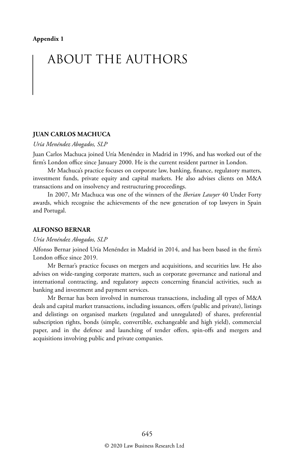# ABOUT THE AUTHORS

#### **JUAN CARLOS MACHUCA**

#### *Uría Menéndez Abogados, SLP*

Juan Carlos Machuca joined Uría Menéndez in Madrid in 1996, and has worked out of the firm's London office since January 2000. He is the current resident partner in London.

Mr Machuca's practice focuses on corporate law, banking, finance, regulatory matters, investment funds, private equity and capital markets. He also advises clients on M&A transactions and on insolvency and restructuring proceedings.

In 2007, Mr Machuca was one of the winners of the *Iberian Lawyer* 40 Under Forty awards, which recognise the achievements of the new generation of top lawyers in Spain and Portugal.

#### **ALFONSO BERNAR**

#### *Uría Menéndez Abogados, SLP*

Alfonso Bernar joined Uría Menéndez in Madrid in 2014, and has been based in the firm's London office since 2019.

Mr Bernar's practice focuses on mergers and acquisitions, and securities law. He also advises on wide-ranging corporate matters, such as corporate governance and national and international contracting, and regulatory aspects concerning financial activities, such as banking and investment and payment services.

Mr Bernar has been involved in numerous transactions, including all types of M&A deals and capital market transactions, including issuances, offers (public and private), listings and delistings on organised markets (regulated and unregulated) of shares, preferential subscription rights, bonds (simple, convertible, exchangeable and high yield), commercial paper, and in the defence and launching of tender offers, spin-offs and mergers and acquisitions involving public and private companies.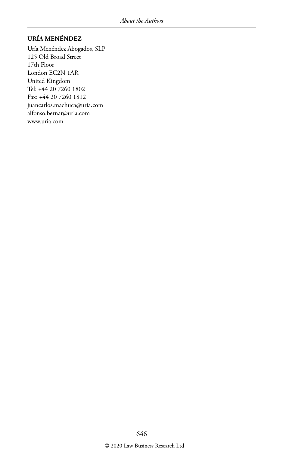#### **URÍA MENÉNDEZ**

Uría Menéndez Abogados, SLP 125 Old Broad Street 17th Floor London EC2N 1AR United Kingdom Tel: +44 20 7260 1802 Fax: +44 20 7260 1812 juancarlos.machuca@uria.com alfonso.bernar@uria.com www.uria.com